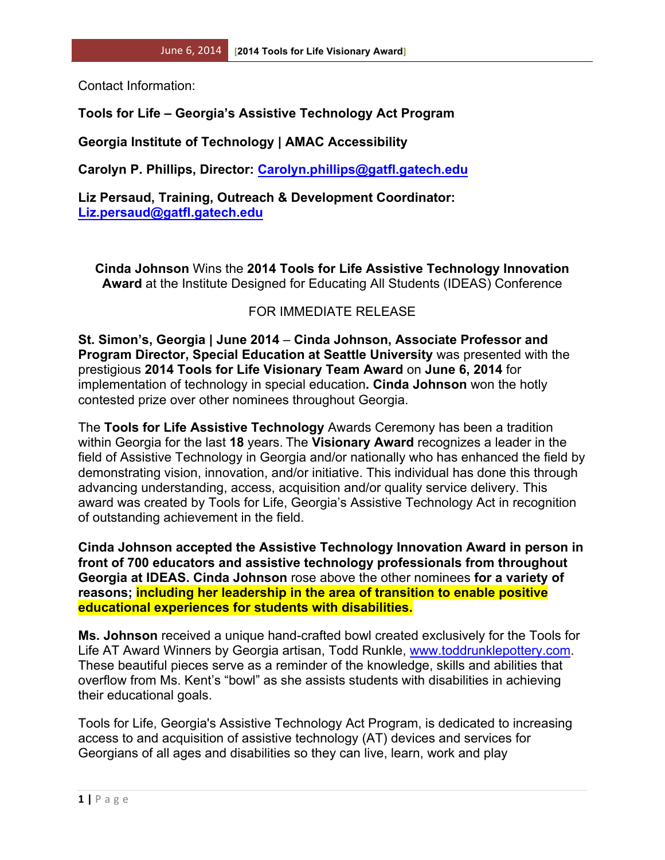Contact Information:

## **Tools for Life – Georgia's Assistive Technology Act Program**

**Georgia Institute of Technology | AMAC Accessibility**

**Carolyn P. Phillips, Director: Carolyn.phillips@gatfl.gatech.edu**

**Liz Persaud, Training, Outreach & Development Coordinator: Liz.persaud@gatfl.gatech.edu**

**Cinda Johnson** Wins the **2014 Tools for Life Assistive Technology Innovation Award** at the Institute Designed for Educating All Students (IDEAS) Conference

## FOR IMMEDIATE RELEASE

**St. Simon's, Georgia | June 2014** – **Cinda Johnson, Associate Professor and Program Director, Special Education at Seattle University** was presented with the prestigious **2014 Tools for Life Visionary Team Award** on **June 6, 2014** for implementation of technology in special education**. Cinda Johnson** won the hotly contested prize over other nominees throughout Georgia.

The **Tools for Life Assistive Technology** Awards Ceremony has been a tradition within Georgia for the last **18** years. The **Visionary Award** recognizes a leader in the field of Assistive Technology in Georgia and/or nationally who has enhanced the field by demonstrating vision, innovation, and/or initiative. This individual has done this through advancing understanding, access, acquisition and/or quality service delivery. This award was created by Tools for Life, Georgia's Assistive Technology Act in recognition of outstanding achievement in the field.

**Cinda Johnson accepted the Assistive Technology Innovation Award in person in front of 700 educators and assistive technology professionals from throughout Georgia at IDEAS. Cinda Johnson** rose above the other nominees **for a variety of reasons; including her leadership in the area of transition to enable positive educational experiences for students with disabilities.**

**Ms. Johnson** received a unique hand-crafted bowl created exclusively for the Tools for Life AT Award Winners by Georgia artisan, Todd Runkle, www.toddrunklepottery.com. These beautiful pieces serve as a reminder of the knowledge, skills and abilities that overflow from Ms. Kent's "bowl" as she assists students with disabilities in achieving their educational goals.

Tools for Life, Georgia's Assistive Technology Act Program, is dedicated to increasing access to and acquisition of assistive technology (AT) devices and services for Georgians of all ages and disabilities so they can live, learn, work and play